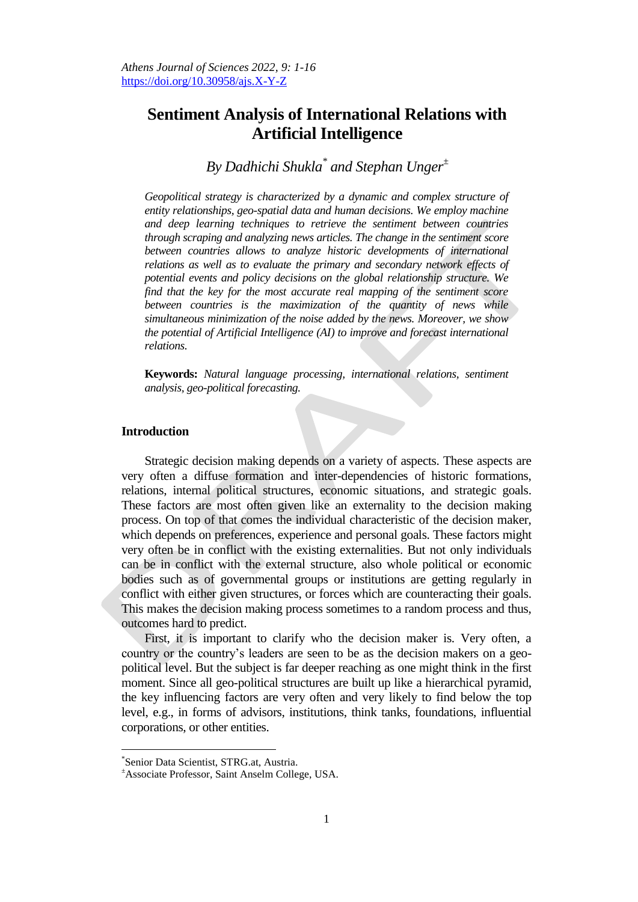# **Sentiment Analysis of International Relations with Artificial Intelligence**

# *By Dadhichi Shukla\* and Stephan Unger<sup>±</sup>*

*Geopolitical strategy is characterized by a dynamic and complex structure of entity relationships, geo-spatial data and human decisions. We employ machine and deep learning techniques to retrieve the sentiment between countries through scraping and analyzing news articles. The change in the sentiment score between countries allows to analyze historic developments of international relations as well as to evaluate the primary and secondary network effects of potential events and policy decisions on the global relationship structure. We find that the key for the most accurate real mapping of the sentiment score between countries is the maximization of the quantity of news while simultaneous minimization of the noise added by the news. Moreover, we show the potential of Artificial Intelligence (AI) to improve and forecast international relations.*

**Keywords:** *Natural language processing, international relations, sentiment analysis, geo-political forecasting.*

## **Introduction**

Strategic decision making depends on a variety of aspects. These aspects are very often a diffuse formation and inter-dependencies of historic formations, relations, internal political structures, economic situations, and strategic goals. These factors are most often given like an externality to the decision making process. On top of that comes the individual characteristic of the decision maker, which depends on preferences, experience and personal goals. These factors might very often be in conflict with the existing externalities. But not only individuals can be in conflict with the external structure, also whole political or economic bodies such as of governmental groups or institutions are getting regularly in conflict with either given structures, or forces which are counteracting their goals. This makes the decision making process sometimes to a random process and thus, outcomes hard to predict.

First, it is important to clarify who the decision maker is. Very often, a country or the country's leaders are seen to be as the decision makers on a geopolitical level. But the subject is far deeper reaching as one might think in the first moment. Since all geo-political structures are built up like a hierarchical pyramid, the key influencing factors are very often and very likely to find below the top level, e.g., in forms of advisors, institutions, think tanks, foundations, influential corporations, or other entities.

j

<sup>\*</sup> Senior Data Scientist, STRG.at, Austria.

<sup>±</sup>Associate Professor, Saint Anselm College, USA.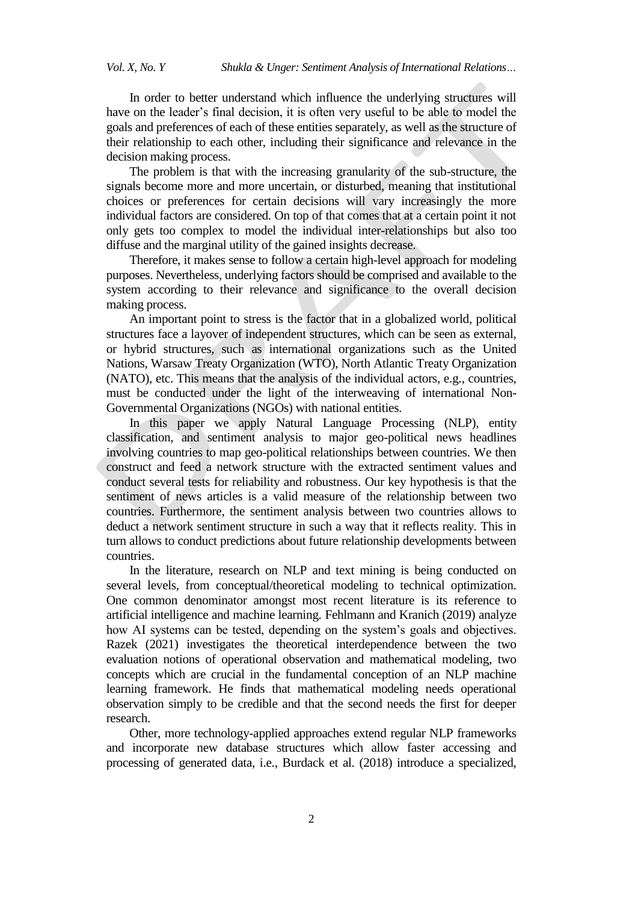In order to better understand which influence the underlying structures will have on the leader's final decision, it is often very useful to be able to model the goals and preferences of each of these entities separately, as well as the structure of their relationship to each other, including their significance and relevance in the decision making process.

The problem is that with the increasing granularity of the sub-structure, the signals become more and more uncertain, or disturbed, meaning that institutional choices or preferences for certain decisions will vary increasingly the more individual factors are considered. On top of that comes that at a certain point it not only gets too complex to model the individual inter-relationships but also too diffuse and the marginal utility of the gained insights decrease.

Therefore, it makes sense to follow a certain high-level approach for modeling purposes. Nevertheless, underlying factors should be comprised and available to the system according to their relevance and significance to the overall decision making process.

An important point to stress is the factor that in a globalized world, political structures face a layover of independent structures, which can be seen as external, or hybrid structures, such as international organizations such as the United Nations, Warsaw Treaty Organization (WTO), North Atlantic Treaty Organization (NATO), etc. This means that the analysis of the individual actors, e.g., countries, must be conducted under the light of the interweaving of international Non-Governmental Organizations (NGOs) with national entities.

In this paper we apply Natural Language Processing (NLP), entity classification, and sentiment analysis to major geo-political news headlines involving countries to map geo-political relationships between countries. We then construct and feed a network structure with the extracted sentiment values and conduct several tests for reliability and robustness. Our key hypothesis is that the sentiment of news articles is a valid measure of the relationship between two countries. Furthermore, the sentiment analysis between two countries allows to deduct a network sentiment structure in such a way that it reflects reality. This in turn allows to conduct predictions about future relationship developments between countries.

In the literature, research on NLP and text mining is being conducted on several levels, from conceptual/theoretical modeling to technical optimization. One common denominator amongst most recent literature is its reference to artificial intelligence and machine learning. Fehlmann and Kranich (2019) analyze how AI systems can be tested, depending on the system's goals and objectives. Razek (2021) investigates the theoretical interdependence between the two evaluation notions of operational observation and mathematical modeling, two concepts which are crucial in the fundamental conception of an NLP machine learning framework. He finds that mathematical modeling needs operational observation simply to be credible and that the second needs the first for deeper research.

Other, more technology-applied approaches extend regular NLP frameworks and incorporate new database structures which allow faster accessing and processing of generated data, i.e., Burdack et al. (2018) introduce a specialized,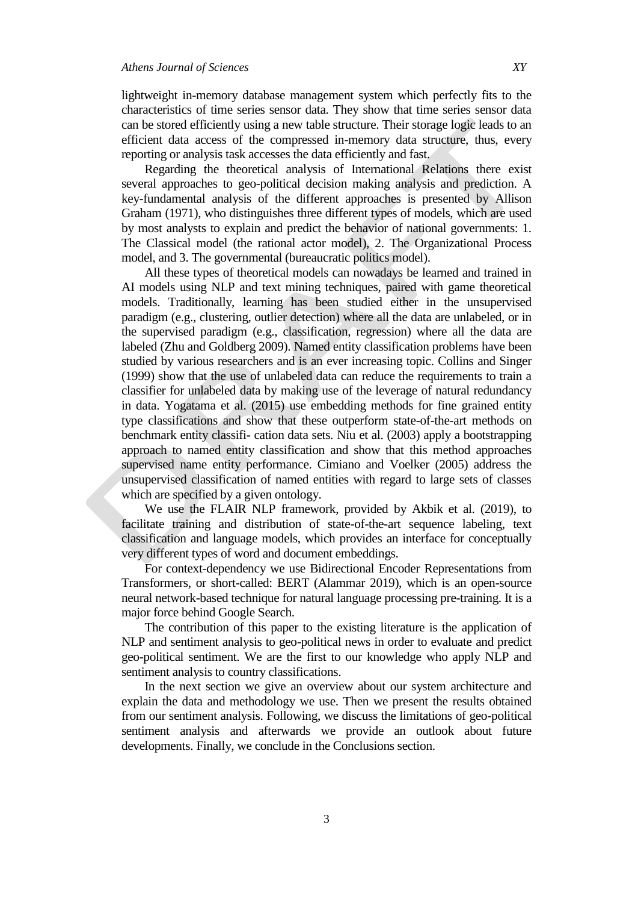lightweight in-memory database management system which perfectly fits to the characteristics of time series sensor data. They show that time series sensor data can be stored efficiently using a new table structure. Their storage logic leads to an efficient data access of the compressed in-memory data structure, thus, every reporting or analysis task accesses the data efficiently and fast.

Regarding the theoretical analysis of International Relations there exist several approaches to geo-political decision making analysis and prediction. A key-fundamental analysis of the different approaches is presented by Allison Graham (1971), who distinguishes three different types of models, which are used by most analysts to explain and predict the behavior of national governments: 1. The Classical model (the rational actor model), 2. The Organizational Process model, and 3. The governmental (bureaucratic politics model).

All these types of theoretical models can nowadays be learned and trained in AI models using NLP and text mining techniques, paired with game theoretical models. Traditionally, learning has been studied either in the unsupervised paradigm (e.g., clustering, outlier detection) where all the data are unlabeled, or in the supervised paradigm (e.g., classification, regression) where all the data are labeled (Zhu and Goldberg 2009). Named entity classification problems have been studied by various researchers and is an ever increasing topic. Collins and Singer (1999) show that the use of unlabeled data can reduce the requirements to train a classifier for unlabeled data by making use of the leverage of natural redundancy in data. Yogatama et al. (2015) use embedding methods for fine grained entity type classifications and show that these outperform state-of-the-art methods on benchmark entity classifi- cation data sets. Niu et al. (2003) apply a bootstrapping approach to named entity classification and show that this method approaches supervised name entity performance. Cimiano and Voelker (2005) address the unsupervised classification of named entities with regard to large sets of classes which are specified by a given ontology.

We use the FLAIR NLP framework, provided by Akbik et al. (2019), to facilitate training and distribution of state-of-the-art sequence labeling, text classification and language models, which provides an interface for conceptually very different types of word and document embeddings.

For context-dependency we use Bidirectional Encoder Representations from Transformers, or short-called: BERT (Alammar 2019), which is an open-source neural network-based technique for natural language processing pre-training. It is a major force behind Google Search.

The contribution of this paper to the existing literature is the application of NLP and sentiment analysis to geo-political news in order to evaluate and predict geo-political sentiment. We are the first to our knowledge who apply NLP and sentiment analysis to country classifications.

In the next section we give an overview about our system architecture and explain the data and methodology we use. Then we present the results obtained from our sentiment analysis. Following, we discuss the limitations of geo-political sentiment analysis and afterwards we provide an outlook about future developments. Finally, we conclude in the Conclusions section.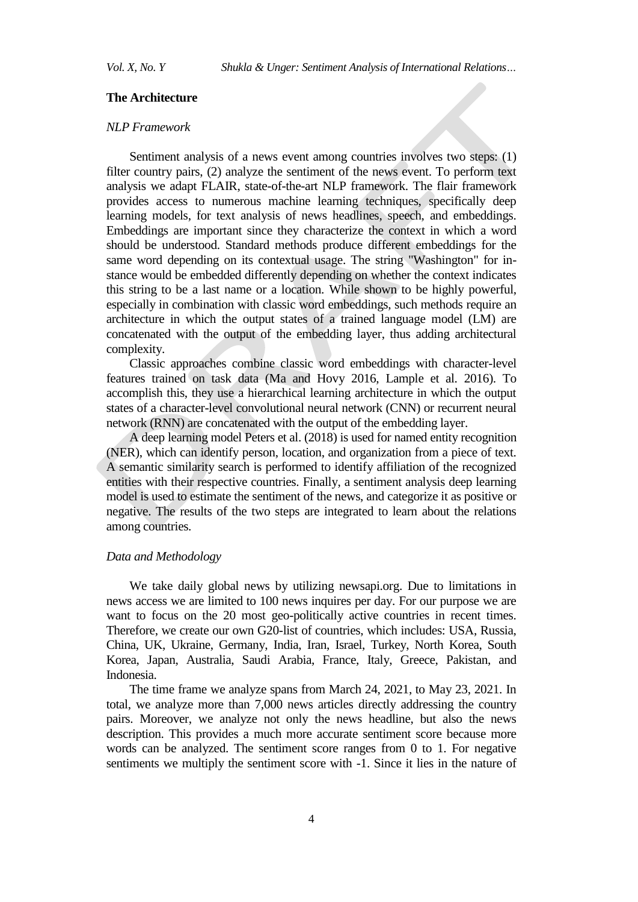## **The Architecture**

## *NLP Framework*

Sentiment analysis of a news event among countries involves two steps: (1) filter country pairs, (2) analyze the sentiment of the news event. To perform text analysis we adapt FLAIR, state-of-the-art NLP framework. The flair framework provides access to numerous machine learning techniques, specifically deep learning models, for text analysis of news headlines, speech, and embeddings. Embeddings are important since they characterize the context in which a word should be understood. Standard methods produce different embeddings for the same word depending on its contextual usage. The string "Washington" for instance would be embedded differently depending on whether the context indicates this string to be a last name or a location. While shown to be highly powerful, especially in combination with classic word embeddings, such methods require an architecture in which the output states of a trained language model (LM) are concatenated with the output of the embedding layer, thus adding architectural complexity.

Classic approaches combine classic word embeddings with character-level features trained on task data (Ma and Hovy 2016, Lample et al. 2016). To accomplish this, they use a hierarchical learning architecture in which the output states of a character-level convolutional neural network (CNN) or recurrent neural network (RNN) are concatenated with the output of the embedding layer.

A deep learning model Peters et al. (2018) is used for named entity recognition (NER), which can identify person, location, and organization from a piece of text. A semantic similarity search is performed to identify affiliation of the recognized entities with their respective countries. Finally, a sentiment analysis deep learning model is used to estimate the sentiment of the news, and categorize it as positive or negative. The results of the two steps are integrated to learn about the relations among countries.

# *Data and Methodology*

We take daily global news by utilizing newsapi.org. Due to limitations in news access we are limited to 100 news inquires per day. For our purpose we are want to focus on the 20 most geo-politically active countries in recent times. Therefore, we create our own G20-list of countries, which includes: USA, Russia, China, UK, Ukraine, Germany, India, Iran, Israel, Turkey, North Korea, South Korea, Japan, Australia, Saudi Arabia, France, Italy, Greece, Pakistan, and Indonesia.

The time frame we analyze spans from March 24, 2021, to May 23, 2021. In total, we analyze more than 7,000 news articles directly addressing the country pairs. Moreover, we analyze not only the news headline, but also the news description. This provides a much more accurate sentiment score because more words can be analyzed. The sentiment score ranges from 0 to 1. For negative sentiments we multiply the sentiment score with -1. Since it lies in the nature of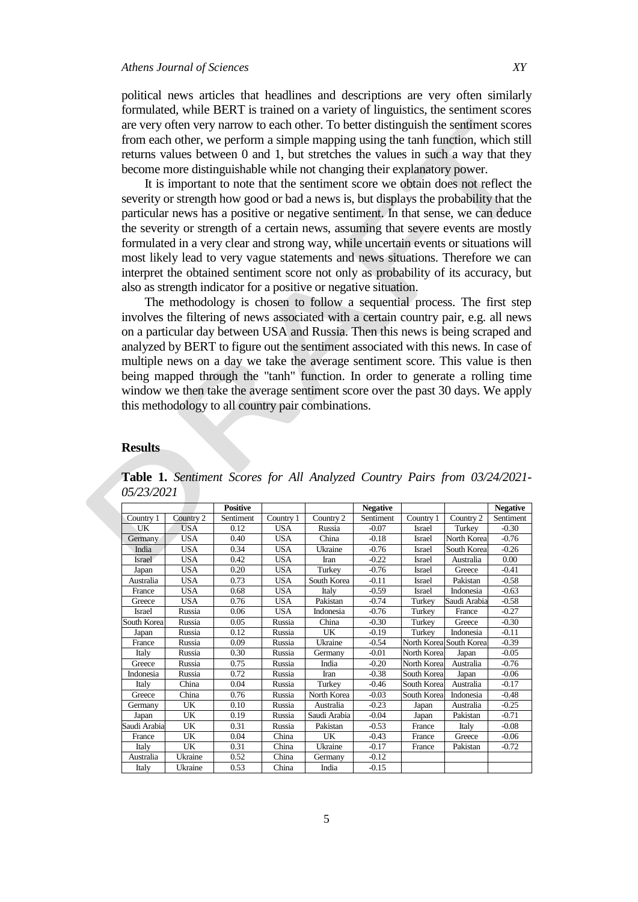political news articles that headlines and descriptions are very often similarly formulated, while BERT is trained on a variety of linguistics, the sentiment scores are very often very narrow to each other. To better distinguish the sentiment scores from each other, we perform a simple mapping using the tanh function, which still returns values between 0 and 1, but stretches the values in such a way that they become more distinguishable while not changing their explanatory power.

It is important to note that the sentiment score we obtain does not reflect the severity or strength how good or bad a news is, but displays the probability that the particular news has a positive or negative sentiment. In that sense, we can deduce the severity or strength of a certain news, assuming that severe events are mostly formulated in a very clear and strong way, while uncertain events or situations will most likely lead to very vague statements and news situations. Therefore we can interpret the obtained sentiment score not only as probability of its accuracy, but also as strength indicator for a positive or negative situation.

The methodology is chosen to follow a sequential process. The first step involves the filtering of news associated with a certain country pair, e.g. all news on a particular day between USA and Russia. Then this news is being scraped and analyzed by BERT to figure out the sentiment associated with this news. In case of multiple news on a day we take the average sentiment score. This value is then being mapped through the "tanh" function. In order to generate a rolling time window we then take the average sentiment score over the past 30 days. We apply this methodology to all country pair combinations.

#### **Results**

|              |            | <b>Positive</b> |            |              | <b>Negative</b> |               |                         | <b>Negative</b> |
|--------------|------------|-----------------|------------|--------------|-----------------|---------------|-------------------------|-----------------|
| Country 1    | Country 2  | Sentiment       | Country 1  | Country 2    | Sentiment       | Country 1     | Country 2               | Sentiment       |
| UK           | USA        | 0.12            | <b>USA</b> | Russia       | $-0.07$         | <b>Israel</b> | Turkey                  | $-0.30$         |
| Germany      | <b>USA</b> | 0.40            | <b>USA</b> | China        | $-0.18$         | <b>Israel</b> | North Korea             | $-0.76$         |
| India        | <b>USA</b> | 0.34            | <b>USA</b> | Ukraine      | $-0.76$         | Israel        | South Korea             | $-0.26$         |
| Israel       | USA        | 0.42            | <b>USA</b> | Iran         | $-0.22$         | Israel        | Australia               | 0.00            |
| Japan        | <b>USA</b> | 0.20            | <b>USA</b> | Turkey       | $-0.76$         | Israel        | Greece                  | $-0.41$         |
| Australia    | <b>USA</b> | 0.73            | <b>USA</b> | South Korea  | $-0.11$         | Israel        | Pakistan                | $-0.58$         |
| France       | USA        | 0.68            | <b>USA</b> | Italy        | $-0.59$         | Israel        | Indonesia               | $-0.63$         |
| Greece       | USA        | 0.76            | <b>USA</b> | Pakistan     | $-0.74$         | Turkey        | Saudi Arabia            | $-0.58$         |
| Israel       | Russia     | 0.06            | <b>USA</b> | Indonesia    | $-0.76$         | Turkey        | France                  | $-0.27$         |
| South Korea  | Russia     | 0.05            | Russia     | China        | $-0.30$         | Turkey        | Greece                  | $-0.30$         |
| Japan        | Russia     | 0.12            | Russia     | UK           | $-0.19$         | Turkey        | Indonesia               | $-0.11$         |
| France       | Russia     | 0.09            | Russia     | Ukraine      | $-0.54$         |               | North Korea South Korea | $-0.39$         |
| Italy        | Russia     | 0.30            | Russia     | Germany      | $-0.01$         | North Korea   | Japan                   | $-0.05$         |
| Greece       | Russia     | 0.75            | Russia     | India        | $-0.20$         | North Korea   | Australia               | $-0.76$         |
| Indonesia    | Russia     | 0.72            | Russia     | Iran         | $-0.38$         | South Korea   | Japan                   | $-0.06$         |
| Italy        | China      | 0.04            | Russia     | Turkey       | $-0.46$         | South Korea   | Australia               | $-0.17$         |
| Greece       | China      | 0.76            | Russia     | North Korea  | $-0.03$         | South Korea   | Indonesia               | $-0.48$         |
| Germany      | UK         | 0.10            | Russia     | Australia    | $-0.23$         | Japan         | Australia               | $-0.25$         |
| Japan        | UK         | 0.19            | Russia     | Saudi Arabia | $-0.04$         | Japan         | Pakistan                | $-0.71$         |
| Saudi Arabia | UK         | 0.31            | Russia     | Pakistan     | $-0.53$         | France        | Italy                   | $-0.08$         |
| France       | UK         | 0.04            | China      | UK           | $-0.43$         | France        | Greece                  | $-0.06$         |
| Italy        | UK         | 0.31            | China      | Ukraine      | $-0.17$         | France        | Pakistan                | $-0.72$         |
| Australia    | Ukraine    | 0.52            | China      | Germany      | $-0.12$         |               |                         |                 |
| Italy        | Ukraine    | 0.53            | China      | India        | $-0.15$         |               |                         |                 |

**Table 1.** *Sentiment Scores for All Analyzed Country Pairs from 03/24/2021- 05/23/2021*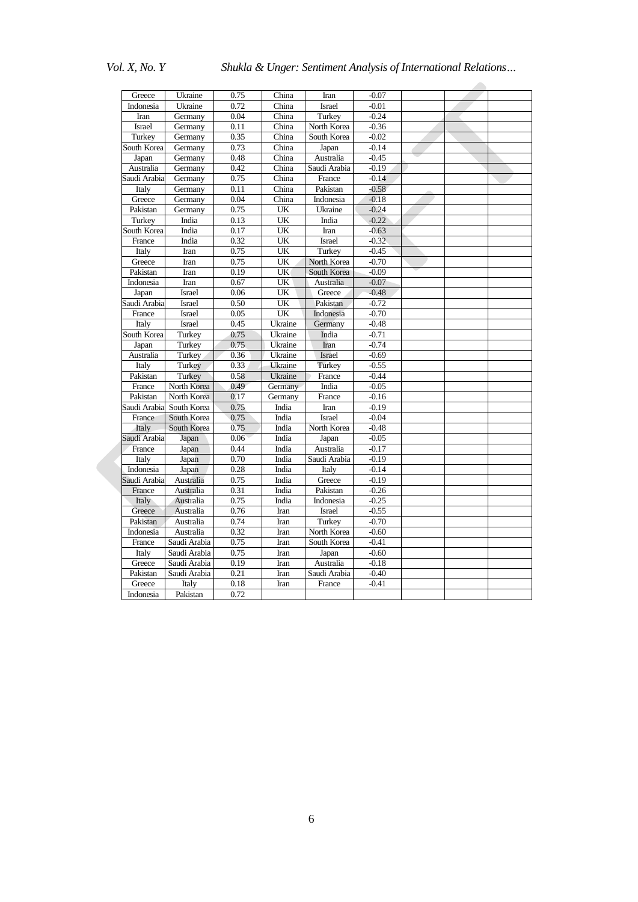*Vol. X, No. Y Shukla & Unger: Sentiment Analysis of International Relations…*

| Greece          | Ukraine                      | 0.75 | China        | Iran               | $-0.07$ |  |  |
|-----------------|------------------------------|------|--------------|--------------------|---------|--|--|
| Indonesia       | Ukraine                      | 0.72 | China        | <b>Israel</b>      | $-0.01$ |  |  |
| Iran            | Germany                      | 0.04 | China        | Turkey             | $-0.24$ |  |  |
| <b>Israel</b>   |                              | 0.11 | China        |                    | $-0.36$ |  |  |
|                 | Germany                      |      |              | North Korea        |         |  |  |
| Turkey          | Germany                      | 0.35 | China        | South Korea        | $-0.02$ |  |  |
| South Korea     | Germany                      | 0.73 | China        | Japan              | $-0.14$ |  |  |
| Japan           | Germany                      | 0.48 | China        | Australia          | $-0.45$ |  |  |
| Australia       | Germany                      | 0.42 | China        | Saudi Arabia       | $-0.19$ |  |  |
| Saudi Arabia    | Germany                      | 0.75 | China        | France             | $-0.14$ |  |  |
| Italy           | Germany                      | 0.11 | China        | Pakistan           | $-0.58$ |  |  |
| Greece          | Germany                      | 0.04 | China        | Indonesia          | $-0.18$ |  |  |
| Pakistan        | Germany                      | 0.75 | UK           | Ukraine            | $-0.24$ |  |  |
| Turkey          | India                        | 0.13 | UK           | India              | $-0.22$ |  |  |
| South Korea     | India                        | 0.17 | UK           | Iran               | $-0.63$ |  |  |
| France          | India                        | 0.32 | UK           | <b>Israel</b>      | $-0.32$ |  |  |
| Italy           | Iran                         | 0.75 | UK           | Turkey             | $-0.45$ |  |  |
| Greece          | Iran                         | 0.75 | UK           | North Korea        | $-0.70$ |  |  |
| Pakistan        | Iran                         | 0.19 | UK           | South Korea        | $-0.09$ |  |  |
| Indonesia       | Iran                         | 0.67 | UK           | Australia          | $-0.07$ |  |  |
| Japan           | Israel                       | 0.06 | UK           | Greece             | $-0.48$ |  |  |
| Saudi Arabia    | <b>Israel</b>                | 0.50 | UK           | Pakistan           | $-0.72$ |  |  |
| France          | Israel                       | 0.05 | UK           | Indonesia          | $-0.70$ |  |  |
| Italy           | <b>Israel</b>                | 0.45 | Ukraine      | Germany            | $-0.48$ |  |  |
| South Korea     | Turkey                       | 0.75 | Ukraine      | India              | $-0.71$ |  |  |
| Japan           | Turkey                       | 0.75 | Ukraine      | Iran               | $-0.74$ |  |  |
| Australia       | Turkey                       | 0.36 | Ukraine      | <b>Israel</b>      | $-0.69$ |  |  |
| Italy           | Turkey                       | 0.33 | Ukraine      | <b>Turkey</b>      | $-0.55$ |  |  |
| Pakistan        | Turkey                       | 0.58 | Ukraine      | France             | $-0.44$ |  |  |
| France          | North Korea                  | 0.49 | Germany      | India              | $-0.05$ |  |  |
| Pakistan        | North Korea                  | 0.17 | Germany      | France             | $-0.16$ |  |  |
| Saudi Arabia    | South Korea                  | 0.75 | India        | Iran               | $-0.19$ |  |  |
| France          | South Korea                  | 0.75 | India        | Israel             | $-0.04$ |  |  |
| Italy           | South Korea                  | 0.75 | India        | North Korea        | $-0.48$ |  |  |
| Saudi Arabia    | Japan                        | 0.06 | India        | Japan              | $-0.05$ |  |  |
| France          | Japan                        | 0.44 | India        | Australia          | $-0.17$ |  |  |
| Italy           | Japan                        | 0.70 | India        | Saudi Arabia       | $-0.19$ |  |  |
| Indonesia       | Japan                        | 0.28 | India        | Italy              | $-0.14$ |  |  |
| Saudi Arabia    | Australia                    | 0.75 | India        | Greece             | $-0.19$ |  |  |
| France          | Australia                    | 0.31 | India        | Pakistan           | $-0.26$ |  |  |
| Italy           | Australia                    | 0.75 | India        | Indonesia          | $-0.25$ |  |  |
| Greece          | Australia                    | 0.76 | Iran         | Israel             | $-0.55$ |  |  |
| Pakistan        | Australia                    | 0.74 | Iran         | Turkey             | $-0.70$ |  |  |
| Indonesia       | Australia                    | 0.32 | Iran         | North Korea        | $-0.60$ |  |  |
| France          | Saudi Arabia                 | 0.75 | Iran         | South Korea        | $-0.41$ |  |  |
|                 |                              | 0.75 |              |                    | $-0.60$ |  |  |
| Italy<br>Greece | Saudi Arabia<br>Saudi Arabia | 0.19 | Iran<br>Iran | Japan<br>Australia | $-0.18$ |  |  |
|                 |                              |      |              |                    |         |  |  |
| Pakistan        | Saudi Arabia                 | 0.21 | Iran         | Saudi Arabia       | $-0.40$ |  |  |
| Greece          | Italy                        | 0.18 | Iran         | France             | $-0.41$ |  |  |
| Indonesia       | Pakistan                     | 0.72 |              |                    |         |  |  |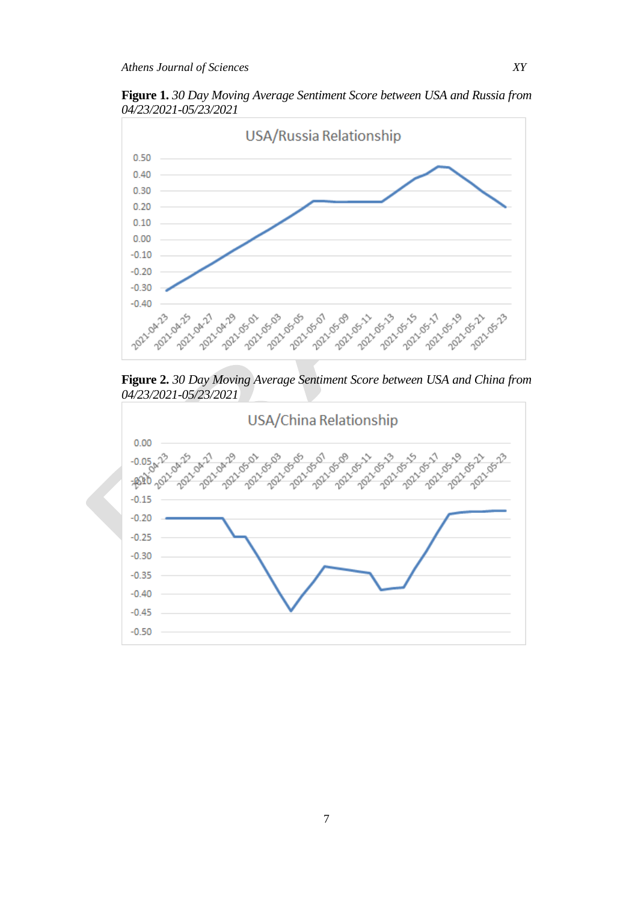**Figure 1.** *30 Day Moving Average Sentiment Score between USA and Russia from 04/23/2021-05/23/2021*



**Figure 2.** *30 Day Moving Average Sentiment Score between USA and China from 04/23/2021-05/23/2021*



7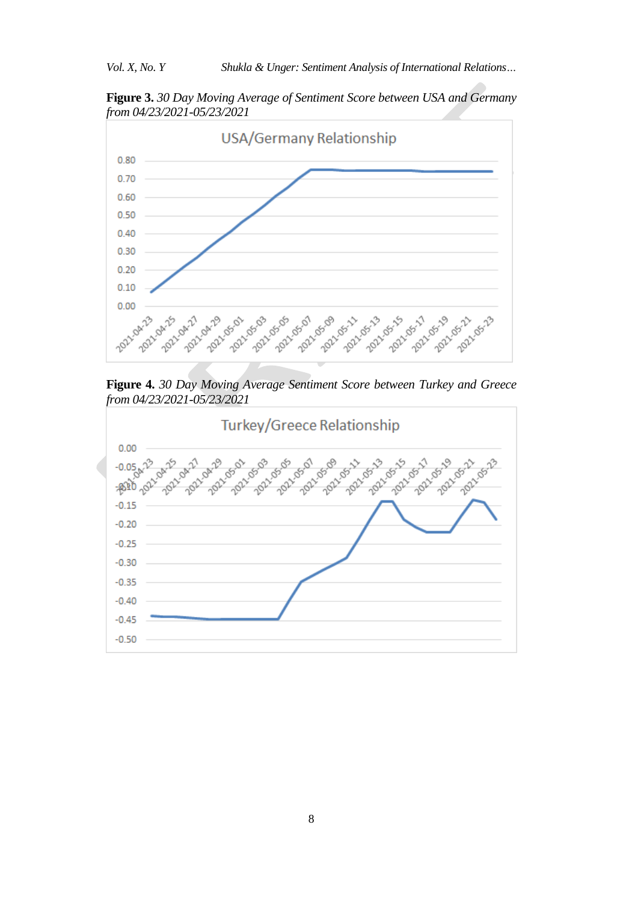**Figure 3.** *30 Day Moving Average of Sentiment Score between USA and Germany from 04/23/2021-05/23/2021*



**Figure 4.** *30 Day Moving Average Sentiment Score between Turkey and Greece from 04/23/2021-05/23/2021*

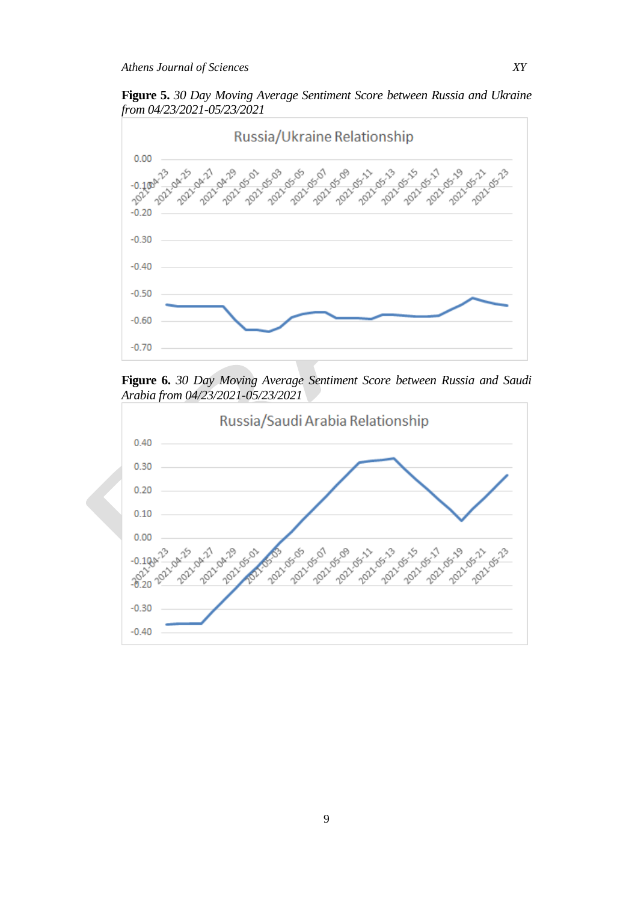**Figure 5.** *30 Day Moving Average Sentiment Score between Russia and Ukraine from 04/23/2021-05/23/2021*



**Figure 6.** *30 Day Moving Average Sentiment Score between Russia and Saudi Arabia from 04/23/2021-05/23/2021*

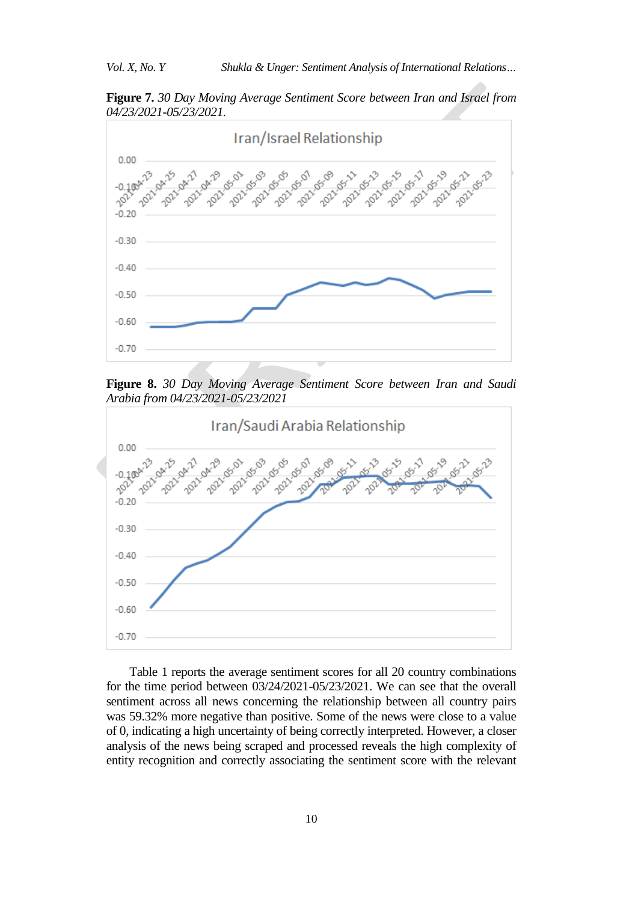**Figure 7.** *30 Day Moving Average Sentiment Score between Iran and Israel from 04/23/2021-05/23/2021.*



**Figure 8.** *30 Day Moving Average Sentiment Score between Iran and Saudi Arabia from 04/23/2021-05/23/2021*



Table 1 reports the average sentiment scores for all 20 country combinations for the time period between 03/24/2021-05/23/2021. We can see that the overall sentiment across all news concerning the relationship between all country pairs was 59.32% more negative than positive. Some of the news were close to a value of 0, indicating a high uncertainty of being correctly interpreted. However, a closer analysis of the news being scraped and processed reveals the high complexity of entity recognition and correctly associating the sentiment score with the relevant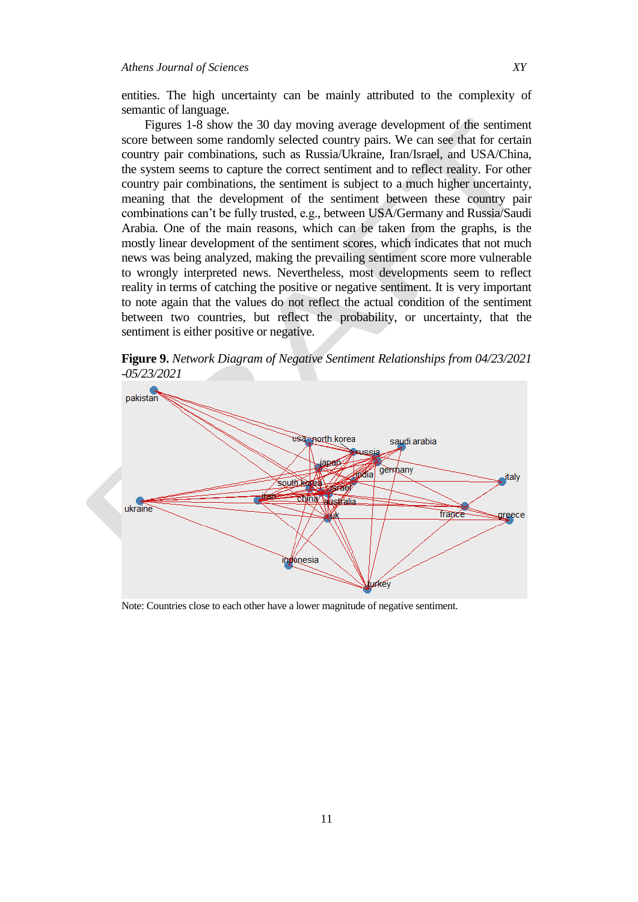entities. The high uncertainty can be mainly attributed to the complexity of semantic of language.

Figures 1-8 show the 30 day moving average development of the sentiment score between some randomly selected country pairs. We can see that for certain country pair combinations, such as Russia/Ukraine, Iran/Israel, and USA/China, the system seems to capture the correct sentiment and to reflect reality. For other country pair combinations, the sentiment is subject to a much higher uncertainty, meaning that the development of the sentiment between these country pair combinations can't be fully trusted, e.g., between USA/Germany and Russia/Saudi Arabia. One of the main reasons, which can be taken from the graphs, is the mostly linear development of the sentiment scores, which indicates that not much news was being analyzed, making the prevailing sentiment score more vulnerable to wrongly interpreted news. Nevertheless, most developments seem to reflect reality in terms of catching the positive or negative sentiment. It is very important to note again that the values do not reflect the actual condition of the sentiment between two countries, but reflect the probability, or uncertainty, that the sentiment is either positive or negative.

**Figure 9.** *Network Diagram of Negative Sentiment Relationships from 04/23/2021 -05/23/2021*



Note: Countries close to each other have a lower magnitude of negative sentiment.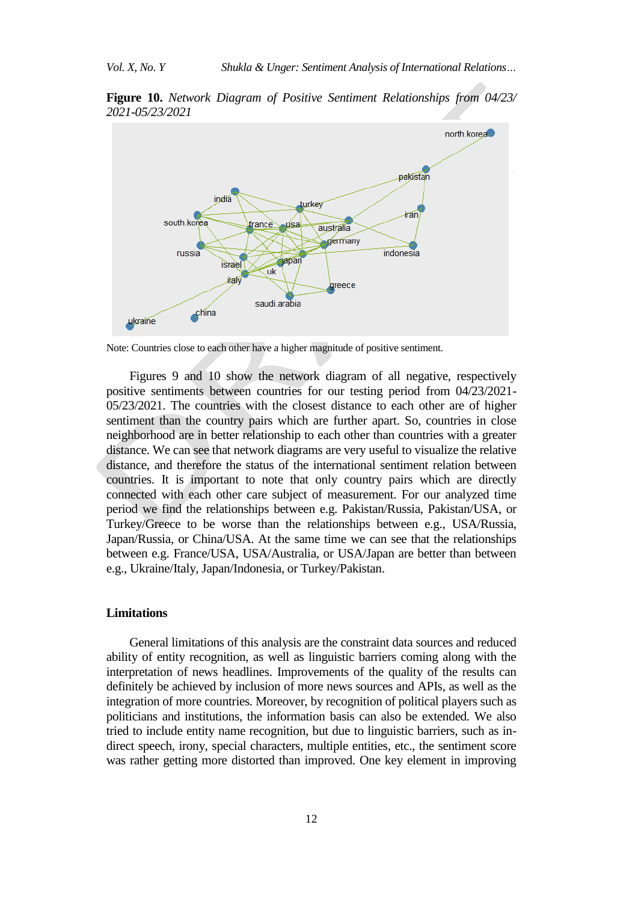**Figure 10.** *Network Diagram of Positive Sentiment Relationships from 04/23/ 2021-05/23/2021*



Note: Countries close to each other have a higher magnitude of positive sentiment.

Figures 9 and 10 show the network diagram of all negative, respectively positive sentiments between countries for our testing period from 04/23/2021- 05/23/2021. The countries with the closest distance to each other are of higher sentiment than the country pairs which are further apart. So, countries in close neighborhood are in better relationship to each other than countries with a greater distance. We can see that network diagrams are very useful to visualize the relative distance, and therefore the status of the international sentiment relation between countries. It is important to note that only country pairs which are directly connected with each other care subject of measurement. For our analyzed time period we find the relationships between e.g. Pakistan/Russia, Pakistan/USA, or Turkey/Greece to be worse than the relationships between e.g., USA/Russia, Japan/Russia, or China/USA. At the same time we can see that the relationships between e.g. France/USA, USA/Australia, or USA/Japan are better than between e.g., Ukraine/Italy, Japan/Indonesia, or Turkey/Pakistan.

#### **Limitations**

General limitations of this analysis are the constraint data sources and reduced ability of entity recognition, as well as linguistic barriers coming along with the interpretation of news headlines. Improvements of the quality of the results can definitely be achieved by inclusion of more news sources and APIs, as well as the integration of more countries. Moreover, by recognition of political players such as politicians and institutions, the information basis can also be extended. We also tried to include entity name recognition, but due to linguistic barriers, such as indirect speech, irony, special characters, multiple entities, etc., the sentiment score was rather getting more distorted than improved. One key element in improving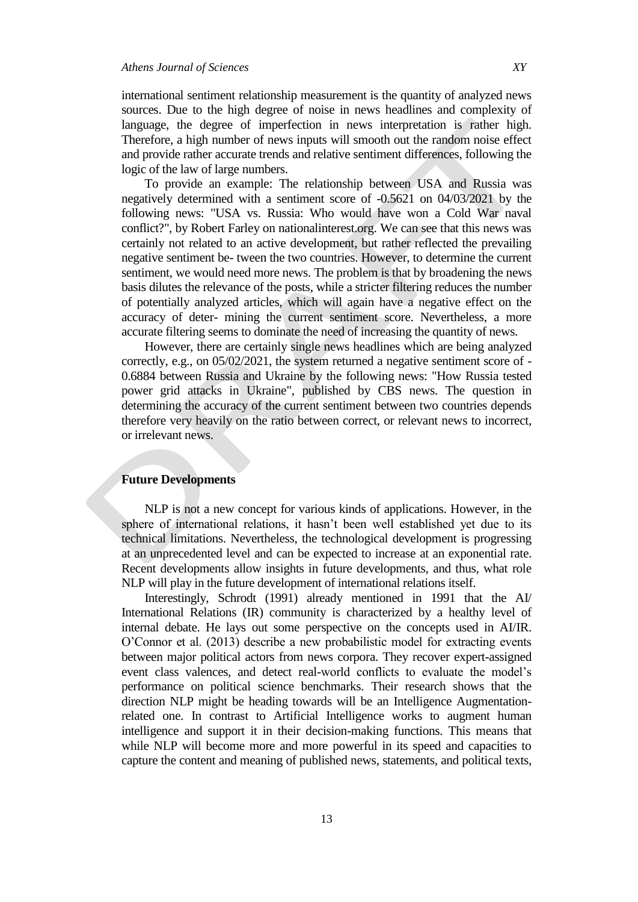international sentiment relationship measurement is the quantity of analyzed news sources. Due to the high degree of noise in news headlines and complexity of language, the degree of imperfection in news interpretation is rather high. Therefore, a high number of news inputs will smooth out the random noise effect and provide rather accurate trends and relative sentiment differences, following the logic of the law of large numbers.

To provide an example: The relationship between USA and Russia was negatively determined with a sentiment score of -0.5621 on 04/03/2021 by the following news: "USA vs. Russia: Who would have won a Cold War naval conflict?", by Robert Farley on nationalinterest.org. We can see that this news was certainly not related to an active development, but rather reflected the prevailing negative sentiment be- tween the two countries. However, to determine the current sentiment, we would need more news. The problem is that by broadening the news basis dilutes the relevance of the posts, while a stricter filtering reduces the number of potentially analyzed articles, which will again have a negative effect on the accuracy of deter- mining the current sentiment score. Nevertheless, a more accurate filtering seems to dominate the need of increasing the quantity of news.

However, there are certainly single news headlines which are being analyzed correctly, e.g., on 05/02/2021, the system returned a negative sentiment score of - 0.6884 between Russia and Ukraine by the following news: "How Russia tested power grid attacks in Ukraine", published by CBS news. The question in determining the accuracy of the current sentiment between two countries depends therefore very heavily on the ratio between correct, or relevant news to incorrect, or irrelevant news.

# **Future Developments**

NLP is not a new concept for various kinds of applications. However, in the sphere of international relations, it hasn't been well established yet due to its technical limitations. Nevertheless, the technological development is progressing at an unprecedented level and can be expected to increase at an exponential rate. Recent developments allow insights in future developments, and thus, what role NLP will play in the future development of international relations itself.

Interestingly, Schrodt (1991) already mentioned in 1991 that the AI/ International Relations (IR) community is characterized by a healthy level of internal debate. He lays out some perspective on the concepts used in AI/IR. O'Connor et al. (2013) describe a new probabilistic model for extracting events between major political actors from news corpora. They recover expert-assigned event class valences, and detect real-world conflicts to evaluate the model's performance on political science benchmarks. Their research shows that the direction NLP might be heading towards will be an Intelligence Augmentationrelated one. In contrast to Artificial Intelligence works to augment human intelligence and support it in their decision-making functions. This means that while NLP will become more and more powerful in its speed and capacities to capture the content and meaning of published news, statements, and political texts,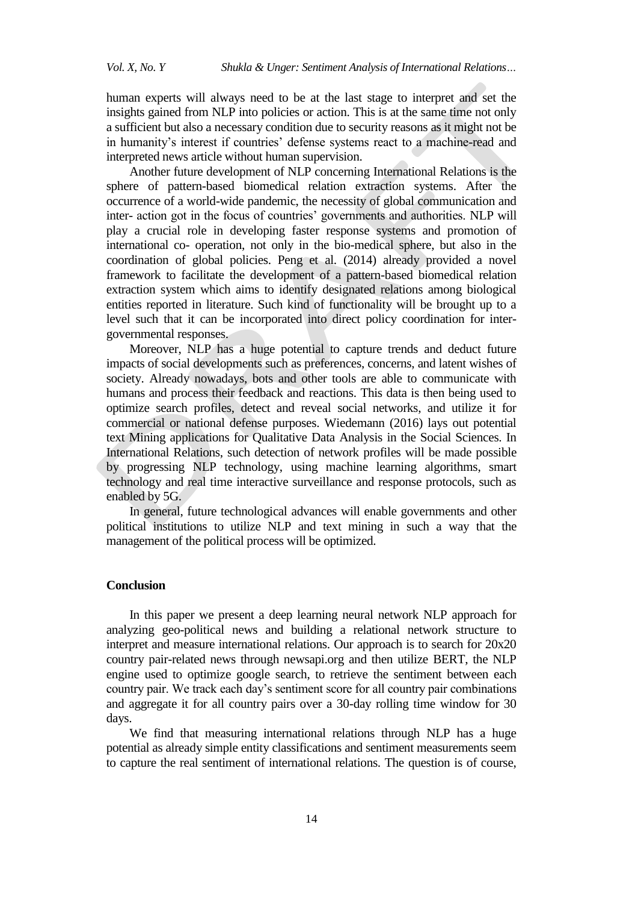human experts will always need to be at the last stage to interpret and set the insights gained from NLP into policies or action. This is at the same time not only a sufficient but also a necessary condition due to security reasons as it might not be in humanity's interest if countries' defense systems react to a machine-read and interpreted news article without human supervision.

Another future development of NLP concerning International Relations is the sphere of pattern-based biomedical relation extraction systems. After the occurrence of a world-wide pandemic, the necessity of global communication and inter- action got in the focus of countries' governments and authorities. NLP will play a crucial role in developing faster response systems and promotion of international co- operation, not only in the bio-medical sphere, but also in the coordination of global policies. Peng et al. (2014) already provided a novel framework to facilitate the development of a pattern-based biomedical relation extraction system which aims to identify designated relations among biological entities reported in literature. Such kind of functionality will be brought up to a level such that it can be incorporated into direct policy coordination for intergovernmental responses.

Moreover, NLP has a huge potential to capture trends and deduct future impacts of social developments such as preferences, concerns, and latent wishes of society. Already nowadays, bots and other tools are able to communicate with humans and process their feedback and reactions. This data is then being used to optimize search profiles, detect and reveal social networks, and utilize it for commercial or national defense purposes. Wiedemann (2016) lays out potential text Mining applications for Qualitative Data Analysis in the Social Sciences. In International Relations, such detection of network profiles will be made possible by progressing NLP technology, using machine learning algorithms, smart technology and real time interactive surveillance and response protocols, such as enabled by 5G.

In general, future technological advances will enable governments and other political institutions to utilize NLP and text mining in such a way that the management of the political process will be optimized.

## **Conclusion**

In this paper we present a deep learning neural network NLP approach for analyzing geo-political news and building a relational network structure to interpret and measure international relations. Our approach is to search for 20x20 country pair-related news through newsapi.org and then utilize BERT, the NLP engine used to optimize google search, to retrieve the sentiment between each country pair. We track each day's sentiment score for all country pair combinations and aggregate it for all country pairs over a 30-day rolling time window for 30 days.

We find that measuring international relations through NLP has a huge potential as already simple entity classifications and sentiment measurements seem to capture the real sentiment of international relations. The question is of course,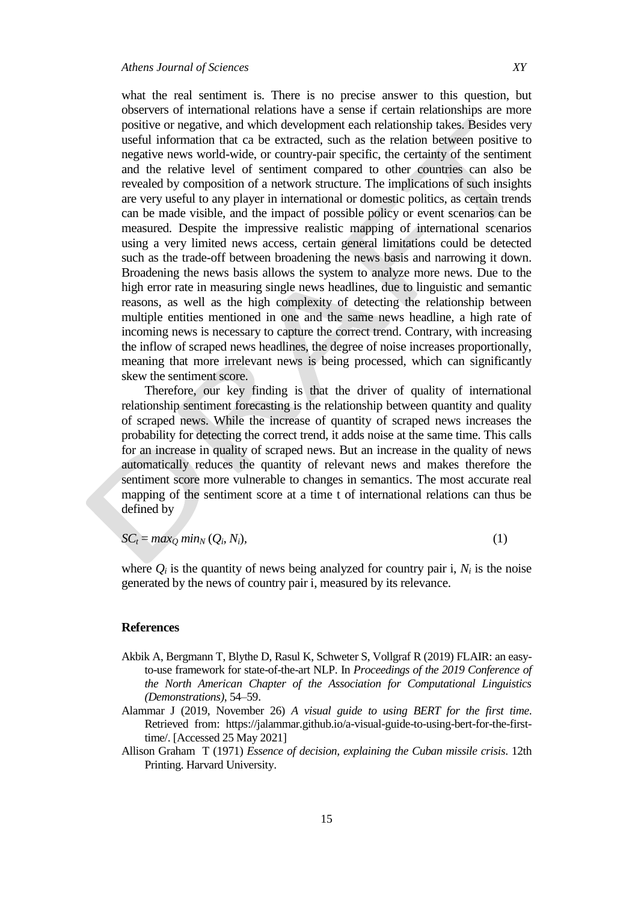what the real sentiment is. There is no precise answer to this question, but observers of international relations have a sense if certain relationships are more positive or negative, and which development each relationship takes. Besides very useful information that ca be extracted, such as the relation between positive to negative news world-wide, or country-pair specific, the certainty of the sentiment

and the relative level of sentiment compared to other countries can also be revealed by composition of a network structure. The implications of such insights are very useful to any player in international or domestic politics, as certain trends can be made visible, and the impact of possible policy or event scenarios can be measured. Despite the impressive realistic mapping of international scenarios using a very limited news access, certain general limitations could be detected such as the trade-off between broadening the news basis and narrowing it down. Broadening the news basis allows the system to analyze more news. Due to the high error rate in measuring single news headlines, due to linguistic and semantic reasons, as well as the high complexity of detecting the relationship between multiple entities mentioned in one and the same news headline, a high rate of incoming news is necessary to capture the correct trend. Contrary, with increasing the inflow of scraped news headlines, the degree of noise increases proportionally, meaning that more irrelevant news is being processed, which can significantly skew the sentiment score.

Therefore, our key finding is that the driver of quality of international relationship sentiment forecasting is the relationship between quantity and quality of scraped news. While the increase of quantity of scraped news increases the probability for detecting the correct trend, it adds noise at the same time. This calls for an increase in quality of scraped news. But an increase in the quality of news automatically reduces the quantity of relevant news and makes therefore the sentiment score more vulnerable to changes in semantics. The most accurate real mapping of the sentiment score at a time t of international relations can thus be defined by

$$
SC_t = max_Q min_N (Q_i, N_i),
$$
\n(1)

where  $Q_i$  is the quantity of news being analyzed for country pair i,  $N_i$  is the noise generated by the news of country pair i, measured by its relevance.

#### **References**

- Akbik A, Bergmann T, Blythe D, Rasul K, Schweter S, Vollgraf R (2019) FLAIR: an easyto-use framework for state-of-the-art NLP. In *Proceedings of the 2019 Conference of the North American Chapter of the Association for Computational Linguistics (Demonstrations)*, 54*–*59.
- Alammar J (2019, November 26) *A visual guide to using BERT for the first time*. Retrieved from: https://jalammar.github.io/a-visual-guide-to-using-bert-for-the-firsttime/. [Accessed 25 May 2021]
- Allison Graham T (1971) *Essence of decision, explaining the Cuban missile crisis*. 12th Printing. Harvard University.